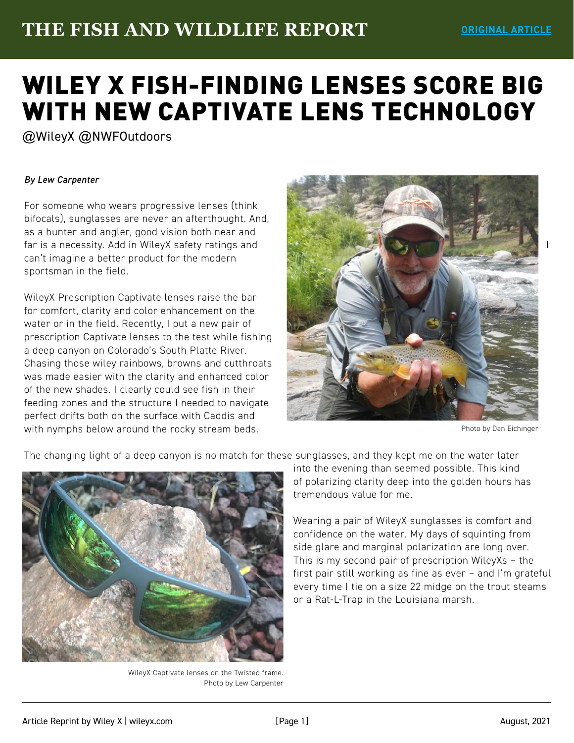## **THE FISH AND WILDLIFE REPORT ORIGINAL ARTICLE**

## [WILEY X FISH-FINDING LENSES SCORE BIG](https://lewcarpenter.wordpress.com/2021/08/19/wileyx-fish-finding-lenses-score-big-with-new-captivate-lens-technology-wileyx-nwfoutdoors/)  WITH NEW CAPTIVATE LENS TECHNOLOGY

@WileyX @NWFOutdoors

## *By Lew Carpenter*

For someone who wears progressive lenses (think bifocals), sunglasses are never an afterthought. And, as a hunter and angler, good vision both near and far is a necessity. Add in WileyX safety ratings and can't imagine a better product for the modern sportsman in the field.

WileyX Prescription Captivate lenses raise the bar for comfort, clarity and color enhancement on the water or in the field. Recently, I put a new pair of prescription Captivate lenses to the test while fishing a deep canyon on Colorado's South Platte River. Chasing those wiley rainbows, browns and cutthroats was made easier with the clarity and enhanced color of the new shades. I clearly could see fish in their feeding zones and the structure I needed to navigate perfect drifts both on the surface with Caddis and with nymphs below around the rocky stream beds.



Photo by Dan Eichinger



The changing light of a deep canyon is no match for these sunglasses, and they kept me on the water later

WileyX Captivate lenses on the Twisted frame. Photo by Lew Carpenter into the evening than seemed possible. This kind of polarizing clarity deep into the golden hours has tremendous value for me.

Wearing a pair of WileyX sunglasses is comfort and confidence on the water. My days of squinting from side glare and marginal polarization are long over. This is my second pair of prescription WileyXs – the first pair still working as fine as ever – and I'm grateful every time I tie on a size 22 midge on the trout steams or a Rat-L-Trap in the Louisiana marsh.